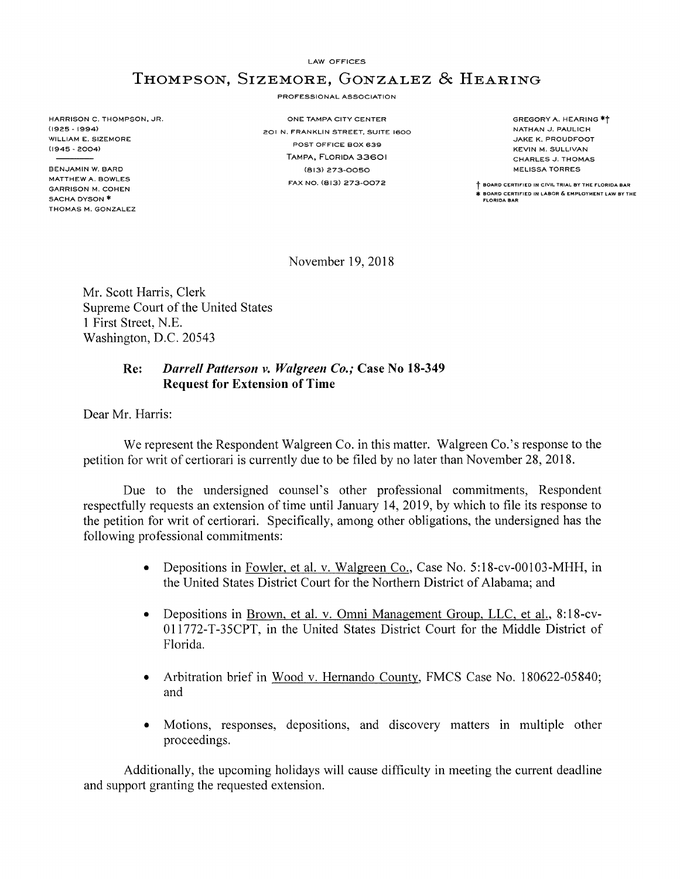LAW OFFICES

## **THOMPSON, SIZEMORE, GONZALEZ & HEARING**

PROFESSIONAL ASSOCIATION

HARRISON C. THOMPSON, JR.<br>(1925 - 1994) . ONE TAMPA CITY CENTER<br>201 N. EBANKLIN STREET, SUIT WILLIAM E. SIZEMORE (1945 - 2004)

BEN.JAMIN W. BARD MATTHEW A. BOWLES GARRISON M. COHEN SACHA DYSON \* THOMAS M. GONZALEZ 201 N. FRANKLIN STREET, SUITE 1600 POST OFFICE BOX 639 TAMPA, FLORIDA 33601 (813) 273-0050 FAX NO. (813) 273-0072

GREGORY A. HEARING \*t NATHAN J. PAULICH .JAKE K. PROUDFOOT KEVIN M. SULLIVAN CHARLES J. THOMAS MELISSA TORRES

**t BOARD CERTIFIED IN CIVIL TRIAL BY THE FLORIDA BAR** \* **BOARD CERTIFIED IN LABOR & EMPLOYMENT LAW BY THE FLORIDA BAR** 

November 19, 2018

Mr. Scott Harris, Clerk Supreme Court of the United States 1 First Street, N.E. Washington, D.C. 20543

## **Re:** *Darrell Patterson v. Walgreen Co.;* **Case No 18-349 Request for Extension of Time**

Dear Mr. Harris:

We represent the Respondent Walgreen Co. in this matter. Walgreen Co.'s response to the petition for writ of certiorari is currently due to be filed by no later than November 28, 2018.

Due to the undersigned counsel's other professional commitments, Respondent respectfully requests an extension of time until January 14, 2019, by which to file its response to the petition for writ of certiorari. Specifically, among other obligations, the undersigned has the following professional commitments:

- Depositions in Fowler, et al. v. Walgreen Co., Case No. 5:18-cv-00103-MHH, in the United States District Court for the Northern District of Alabama; and
- Depositions in Brown, et al. v. Omni Management Group, LLC, et al., 8:18-cv-**Ol l** 772-T-35CPT, in the United States District Court for the Middle District of Florida.
- Arbitration brief in Wood v. Hernando County, FMCS Case No. 180622-05840; and
- Motions, responses, depositions, and discovery matters in multiple other proceedings.

Additionally, the upcoming holidays will cause difficulty in meeting the current deadline and support granting the requested extension.